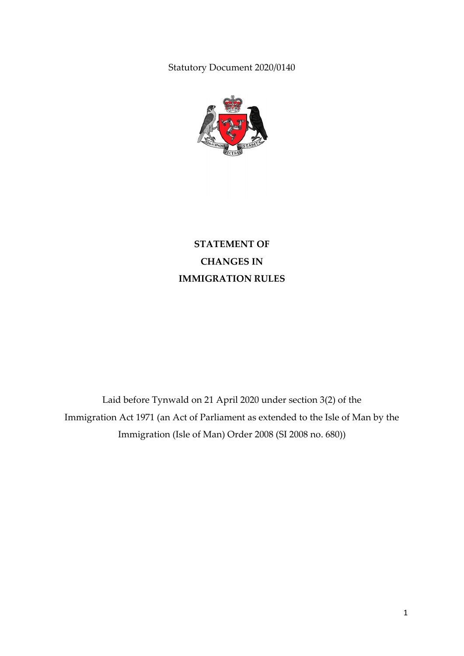Statutory Document 2020/0140



**STATEMENT OF CHANGES IN IMMIGRATION RULES**

Laid before Tynwald on 21 April 2020 under section 3(2) of the Immigration Act 1971 (an Act of Parliament as extended to the Isle of Man by the Immigration (Isle of Man) Order 2008 (SI 2008 no. 680))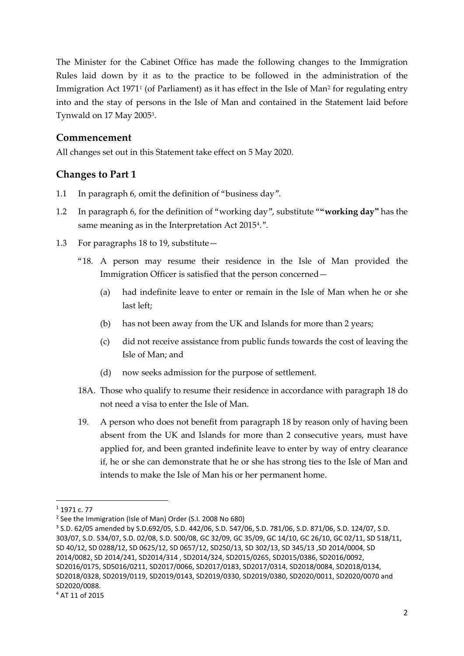The Minister for the Cabinet Office has made the following changes to the Immigration Rules laid down by it as to the practice to be followed in the administration of the Immigration Act [1](#page-1-0)971<sup>1</sup> (of Parliament) as it has effect in the Isle of Man<sup>[2](#page-1-1)</sup> for regulating entry into and the stay of persons in the Isle of Man and contained in the Statement laid before Tynwald on 17 May 2005[3](#page-1-2).

### **Commencement**

All changes set out in this Statement take effect on 5 May 2020.

## **Changes to Part 1**

- 1.1 In paragraph 6, omit the definition of "business day".
- 1.2 In paragraph 6, for the definition of "working day", substitute "**"working day"** has the same meaning as in the Interpretation Act 2015<sup>[4](#page-1-3)</sup>.".
- 1.3 For paragraphs 18 to 19, substitute—
	- "18. A person may resume their residence in the Isle of Man provided the Immigration Officer is satisfied that the person concerned—
		- (a) had indefinite leave to enter or remain in the Isle of Man when he or she last left;
		- (b) has not been away from the UK and Islands for more than 2 years;
		- (c) did not receive assistance from public funds towards the cost of leaving the Isle of Man; and
		- (d) now seeks admission for the purpose of settlement.
	- 18A. Those who qualify to resume their residence in accordance with paragraph 18 do not need a visa to enter the Isle of Man.
	- 19. A person who does not benefit from paragraph 18 by reason only of having been absent from the UK and Islands for more than 2 consecutive years, must have applied for, and been granted indefinite leave to enter by way of entry clearance if, he or she can demonstrate that he or she has strong ties to the Isle of Man and intends to make the Isle of Man his or her permanent home.

<span id="page-1-0"></span> $1$  1971 c. 77

<span id="page-1-1"></span><sup>2</sup> See the Immigration (Isle of Man) Order (S.I. 2008 No 680)

<span id="page-1-3"></span><span id="page-1-2"></span><sup>3</sup> S.D. 62/05 amended by S.D.692/05, S.D. 442/06, S.D. 547/06, S.D. 781/06, S.D. 871/06, S.D. 124/07, S.D. 303/07, S.D. 534/07, S.D. 02/08, S.D. 500/08, GC 32/09, GC 35/09, GC 14/10, GC 26/10, GC 02/11, SD 518/11, SD 40/12, SD 0288/12, SD 0625/12, SD 0657/12, SD250/13, SD 302/13, SD 345/13 ,SD 2014/0004, SD 2014/0082, SD 2014/241, SD2014/314 , SD2014/324, SD2015/0265, SD2015/0386, SD2016/0092, SD2016/0175, SD5016/0211, SD2017/0066, SD2017/0183, SD2017/0314, SD2018/0084, SD2018/0134, SD2018/0328, SD2019/0119, SD2019/0143, SD2019/0330, SD2019/0380, SD2020/0011, SD2020/0070 and SD2020/0088.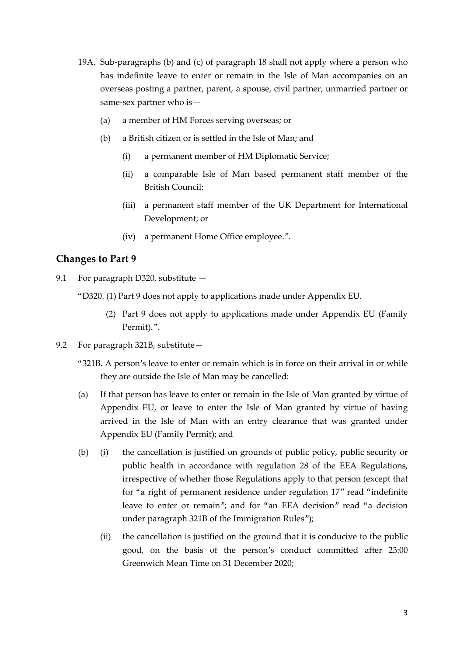- 19A. Sub-paragraphs (b) and (c) of paragraph 18 shall not apply where a person who has indefinite leave to enter or remain in the Isle of Man accompanies on an overseas posting a partner, parent, a spouse, civil partner, unmarried partner or same-sex partner who is—
	- (a) a member of HM Forces serving overseas; or
	- (b) a British citizen or is settled in the Isle of Man; and
		- (i) a permanent member of HM Diplomatic Service;
		- (ii) a comparable Isle of Man based permanent staff member of the British Council;
		- (iii) a permanent staff member of the UK Department for International Development; or
		- (iv) a permanent Home Office employee.".

## **Changes to Part 9**

- 9.1 For paragraph D320, substitute  $-$ 
	- "D320. (1) Part 9 does not apply to applications made under Appendix EU.
		- (2) Part 9 does not apply to applications made under Appendix EU (Family Permit).".
- 9.2 For paragraph 321B, substitute—
	- "321B. A person's leave to enter or remain which is in force on their arrival in or while they are outside the Isle of Man may be cancelled:
	- (a) If that person has leave to enter or remain in the Isle of Man granted by virtue of Appendix EU, or leave to enter the Isle of Man granted by virtue of having arrived in the Isle of Man with an entry clearance that was granted under Appendix EU (Family Permit); and
	- (b) (i) the cancellation is justified on grounds of public policy, public security or public health in accordance with regulation 28 of the EEA Regulations, irrespective of whether those Regulations apply to that person (except that for "a right of permanent residence under regulation 17" read "indefinite leave to enter or remain"; and for "an EEA decision" read "a decision under paragraph 321B of the Immigration Rules");
		- (ii) the cancellation is justified on the ground that it is conducive to the public good, on the basis of the person's conduct committed after 23:00 Greenwich Mean Time on 31 December 2020;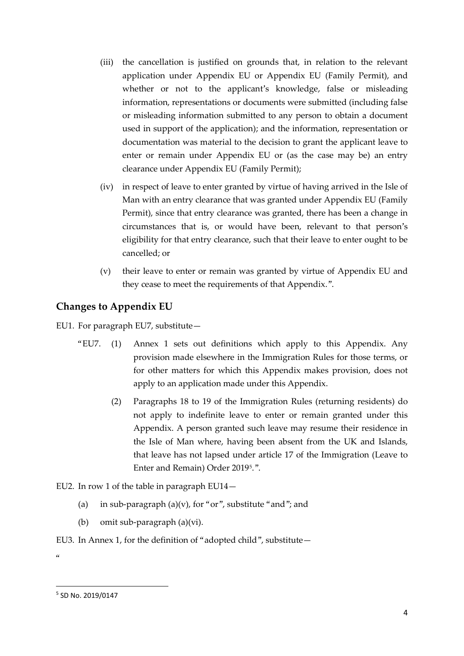- (iii) the cancellation is justified on grounds that, in relation to the relevant application under Appendix EU or Appendix EU (Family Permit), and whether or not to the applicant's knowledge, false or misleading information, representations or documents were submitted (including false or misleading information submitted to any person to obtain a document used in support of the application); and the information, representation or documentation was material to the decision to grant the applicant leave to enter or remain under Appendix EU or (as the case may be) an entry clearance under Appendix EU (Family Permit);
- (iv) in respect of leave to enter granted by virtue of having arrived in the Isle of Man with an entry clearance that was granted under Appendix EU (Family Permit), since that entry clearance was granted, there has been a change in circumstances that is, or would have been, relevant to that person's eligibility for that entry clearance, such that their leave to enter ought to be cancelled; or
- (v) their leave to enter or remain was granted by virtue of Appendix EU and they cease to meet the requirements of that Appendix.".

## **Changes to Appendix EU**

EU1. For paragraph EU7, substitute—

- "EU7. (1) Annex 1 sets out definitions which apply to this Appendix. Any provision made elsewhere in the Immigration Rules for those terms, or for other matters for which this Appendix makes provision, does not apply to an application made under this Appendix.
	- (2) Paragraphs 18 to 19 of the Immigration Rules (returning residents) do not apply to indefinite leave to enter or remain granted under this Appendix. A person granted such leave may resume their residence in the Isle of Man where, having been absent from the UK and Islands, that leave has not lapsed under article 17 of the Immigration (Leave to Enter and Remain) Order 2019[5](#page-3-0).".
- EU2. In row 1 of the table in paragraph EU14—
	- (a) in sub-paragraph (a)(v), for "or", substitute "and"; and
	- (b) omit sub-paragraph (a)(vi).

#### EU3. In Annex 1, for the definition of "adopted child", substitute—

 $\alpha$ 

<span id="page-3-0"></span> <sup>5</sup> SD No. 2019/0147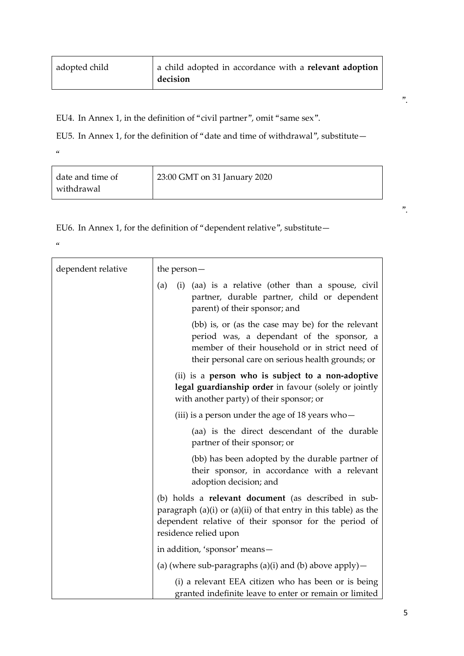| adopted child | a child adopted in accordance with a <b>relevant adoption</b> |
|---------------|---------------------------------------------------------------|
|               | decision                                                      |

EU4. In Annex 1, in the definition of "civil partner", omit "same sex".

EU5. In Annex 1, for the definition of "date and time of withdrawal", substitute—

 $\alpha$ 

| date and time of | 23:00 GMT on 31 January 2020 |  |
|------------------|------------------------------|--|
| withdrawal       |                              |  |

EU6. In Annex 1, for the definition of "dependent relative", substitute—

 $\alpha$ 

| dependent relative | the person $-$                                                                                                                                                                                                      |
|--------------------|---------------------------------------------------------------------------------------------------------------------------------------------------------------------------------------------------------------------|
|                    | (aa) is a relative (other than a spouse, civil<br>(a)<br>(i)<br>partner, durable partner, child or dependent<br>parent) of their sponsor; and                                                                       |
|                    | (bb) is, or (as the case may be) for the relevant<br>period was, a dependant of the sponsor, a<br>member of their household or in strict need of<br>their personal care on serious health grounds; or               |
|                    | (ii) is a person who is subject to a non-adoptive<br>legal guardianship order in favour (solely or jointly<br>with another party) of their sponsor; or                                                              |
|                    | (iii) is a person under the age of 18 years who $-$                                                                                                                                                                 |
|                    | (aa) is the direct descendant of the durable<br>partner of their sponsor; or                                                                                                                                        |
|                    | (bb) has been adopted by the durable partner of<br>their sponsor, in accordance with a relevant<br>adoption decision; and                                                                                           |
|                    | (b) holds a <b>relevant document</b> (as described in sub-<br>paragraph $(a)(i)$ or $(a)(ii)$ of that entry in this table) as the<br>dependent relative of their sponsor for the period of<br>residence relied upon |
|                    | in addition, 'sponsor' means-                                                                                                                                                                                       |
|                    | (a) (where sub-paragraphs (a)(i) and (b) above apply) $-$                                                                                                                                                           |
|                    | (i) a relevant EEA citizen who has been or is being<br>granted indefinite leave to enter or remain or limited                                                                                                       |

".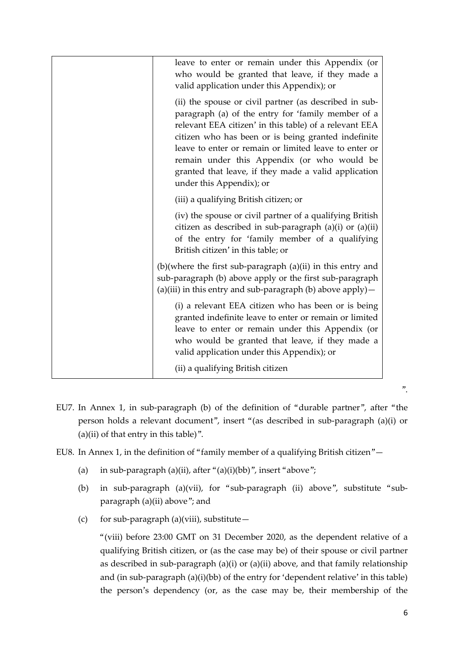| leave to enter or remain under this Appendix (or<br>who would be granted that leave, if they made a<br>valid application under this Appendix); or                                                                                                                                                                                                                                                                         |
|---------------------------------------------------------------------------------------------------------------------------------------------------------------------------------------------------------------------------------------------------------------------------------------------------------------------------------------------------------------------------------------------------------------------------|
| (ii) the spouse or civil partner (as described in sub-<br>paragraph (a) of the entry for 'family member of a<br>relevant EEA citizen' in this table) of a relevant EEA<br>citizen who has been or is being granted indefinite<br>leave to enter or remain or limited leave to enter or<br>remain under this Appendix (or who would be<br>granted that leave, if they made a valid application<br>under this Appendix); or |
| (iii) a qualifying British citizen; or                                                                                                                                                                                                                                                                                                                                                                                    |
| (iv) the spouse or civil partner of a qualifying British<br>citizen as described in sub-paragraph (a)(i) or (a)(ii)<br>of the entry for 'family member of a qualifying<br>British citizen' in this table; or                                                                                                                                                                                                              |
| $(b)$ (where the first sub-paragraph $(a)$ (ii) in this entry and<br>sub-paragraph (b) above apply or the first sub-paragraph<br>(a)(iii) in this entry and sub-paragraph (b) above apply) $-$                                                                                                                                                                                                                            |
| (i) a relevant EEA citizen who has been or is being<br>granted indefinite leave to enter or remain or limited<br>leave to enter or remain under this Appendix (or<br>who would be granted that leave, if they made a<br>valid application under this Appendix); or                                                                                                                                                        |
| (ii) a qualifying British citizen                                                                                                                                                                                                                                                                                                                                                                                         |

- EU7. In Annex 1, in sub-paragraph (b) of the definition of "durable partner", after "the person holds a relevant document", insert "(as described in sub-paragraph (a)(i) or  $(a)(ii)$  of that entry in this table)".
- EU8. In Annex 1, in the definition of "family member of a qualifying British citizen"—
	- (a) in sub-paragraph (a)(ii), after " $(a)(i)(bb)$ ", insert "above";
	- (b) in sub-paragraph (a)(vii), for "sub-paragraph (ii) above", substitute "subparagraph (a)(ii) above"; and
	- (c) for sub-paragraph (a)(viii), substitute—

"(viii) before 23:00 GMT on 31 December 2020, as the dependent relative of a qualifying British citizen, or (as the case may be) of their spouse or civil partner as described in sub-paragraph (a)(i) or (a)(ii) above, and that family relationship and (in sub-paragraph (a)(i)(bb) of the entry for 'dependent relative' in this table) the person's dependency (or, as the case may be, their membership of the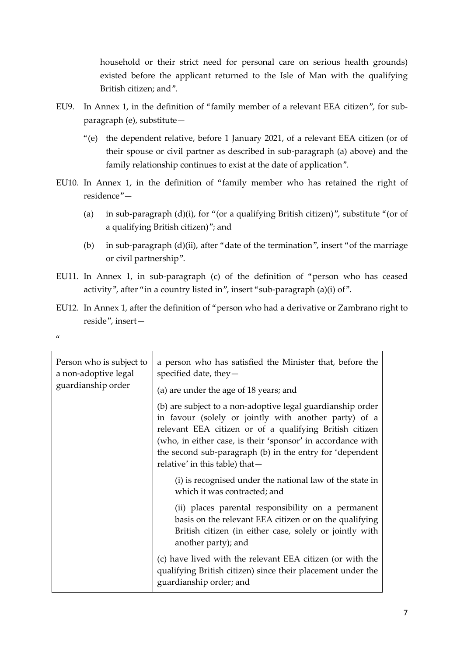household or their strict need for personal care on serious health grounds) existed before the applicant returned to the Isle of Man with the qualifying British citizen; and".

- EU9. In Annex 1, in the definition of "family member of a relevant EEA citizen", for subparagraph (e), substitute—
	- "(e) the dependent relative, before 1 January 2021, of a relevant EEA citizen (or of their spouse or civil partner as described in sub-paragraph (a) above) and the family relationship continues to exist at the date of application".
- EU10. In Annex 1, in the definition of "family member who has retained the right of residence"—
	- (a) in sub-paragraph  $(d)(i)$ , for "(or a qualifying British citizen)", substitute "(or of a qualifying British citizen)"; and
	- (b) in sub-paragraph (d)(ii), after "date of the termination", insert "of the marriage or civil partnership".
- EU11. In Annex 1, in sub-paragraph (c) of the definition of "person who has ceased activity", after "in a country listed in", insert "sub-paragraph (a)(i) of".
- EU12. In Annex 1, after the definition of "person who had a derivative or Zambrano right to reside", insert—

| Person who is subject to<br>a non-adoptive legal<br>guardianship order | a person who has satisfied the Minister that, before the<br>specified date, they $-$<br>(a) are under the age of 18 years; and                                                                                                                                                                                                              |
|------------------------------------------------------------------------|---------------------------------------------------------------------------------------------------------------------------------------------------------------------------------------------------------------------------------------------------------------------------------------------------------------------------------------------|
|                                                                        | (b) are subject to a non-adoptive legal guardianship order<br>in favour (solely or jointly with another party) of a<br>relevant EEA citizen or of a qualifying British citizen<br>(who, in either case, is their 'sponsor' in accordance with<br>the second sub-paragraph (b) in the entry for 'dependent<br>relative' in this table) that- |
|                                                                        | (i) is recognised under the national law of the state in<br>which it was contracted; and                                                                                                                                                                                                                                                    |
|                                                                        | (ii) places parental responsibility on a permanent<br>basis on the relevant EEA citizen or on the qualifying<br>British citizen (in either case, solely or jointly with<br>another party); and                                                                                                                                              |
|                                                                        | (c) have lived with the relevant EEA citizen (or with the<br>qualifying British citizen) since their placement under the<br>guardianship order; and                                                                                                                                                                                         |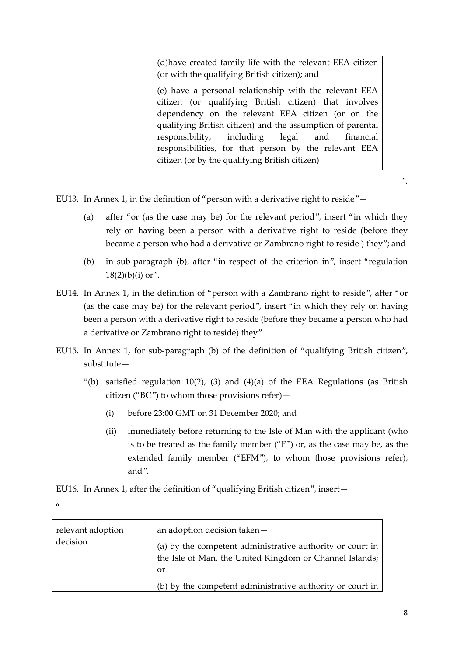| (d) have created family life with the relevant EEA citizen<br>(or with the qualifying British citizen); and                                                                                                                                                                         |
|-------------------------------------------------------------------------------------------------------------------------------------------------------------------------------------------------------------------------------------------------------------------------------------|
| (e) have a personal relationship with the relevant EEA<br>citizen (or qualifying British citizen) that involves<br>dependency on the relevant EEA citizen (or on the<br>qualifying British citizen) and the assumption of parental<br>responsibility, including legal and financial |
| responsibilities, for that person by the relevant EEA<br>citizen (or by the qualifying British citizen)                                                                                                                                                                             |

EU13. In Annex 1, in the definition of "person with a derivative right to reside"—

- (a) after "or (as the case may be) for the relevant period", insert "in which they rely on having been a person with a derivative right to reside (before they became a person who had a derivative or Zambrano right to reside ) they"; and
- (b) in sub-paragraph (b), after "in respect of the criterion in", insert "regulation  $18(2)(b)(i)$  or".
- EU14. In Annex 1, in the definition of "person with a Zambrano right to reside", after "or (as the case may be) for the relevant period", insert "in which they rely on having been a person with a derivative right to reside (before they became a person who had a derivative or Zambrano right to reside) they".
- EU15. In Annex 1, for sub-paragraph (b) of the definition of "qualifying British citizen", substitute—
	- "(b) satisfied regulation  $10(2)$ , (3) and  $(4)(a)$  of the EEA Regulations (as British citizen ("BC") to whom those provisions refer)—
		- (i) before 23:00 GMT on 31 December 2020; and
		- (ii) immediately before returning to the Isle of Man with the applicant (who is to be treated as the family member ("F") or, as the case may be, as the extended family member ("EFM"), to whom those provisions refer); and".

EU16. In Annex 1, after the definition of "qualifying British citizen", insert—

 $\alpha$ 

| relevant adoption<br>decision | an adoption decision taken-<br>(a) by the competent administrative authority or court in<br>the Isle of Man, the United Kingdom or Channel Islands; |
|-------------------------------|-----------------------------------------------------------------------------------------------------------------------------------------------------|
|                               | or                                                                                                                                                  |
|                               | (b) by the competent administrative authority or court in                                                                                           |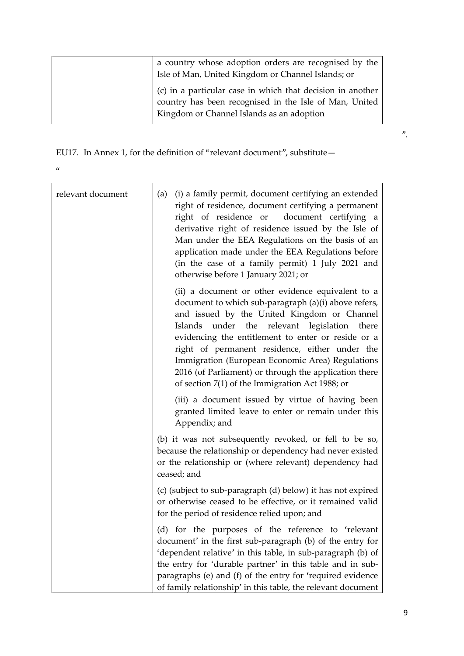| a country whose adoption orders are recognised by the<br>Isle of Man, United Kingdom or Channel Islands; or                                                         |
|---------------------------------------------------------------------------------------------------------------------------------------------------------------------|
| (c) in a particular case in which that decision in another<br>country has been recognised in the Isle of Man, United  <br>Kingdom or Channel Islands as an adoption |

EU17. In Annex 1, for the definition of "relevant document", substitute—

 $\alpha$ 

| relevant document | (i) a family permit, document certifying an extended<br>(a)<br>right of residence, document certifying a permanent<br>right of residence or document certifying a<br>derivative right of residence issued by the Isle of<br>Man under the EEA Regulations on the basis of an<br>application made under the EEA Regulations before<br>(in the case of a family permit) 1 July 2021 and<br>otherwise before 1 January 2021; or                                                     |
|-------------------|----------------------------------------------------------------------------------------------------------------------------------------------------------------------------------------------------------------------------------------------------------------------------------------------------------------------------------------------------------------------------------------------------------------------------------------------------------------------------------|
|                   | (ii) a document or other evidence equivalent to a<br>document to which sub-paragraph (a)(i) above refers,<br>and issued by the United Kingdom or Channel<br>Islands under the relevant legislation there<br>evidencing the entitlement to enter or reside or a<br>right of permanent residence, either under the<br>Immigration (European Economic Area) Regulations<br>2016 (of Parliament) or through the application there<br>of section 7(1) of the Immigration Act 1988; or |
|                   | (iii) a document issued by virtue of having been<br>granted limited leave to enter or remain under this<br>Appendix; and                                                                                                                                                                                                                                                                                                                                                         |
|                   | (b) it was not subsequently revoked, or fell to be so,<br>because the relationship or dependency had never existed<br>or the relationship or (where relevant) dependency had<br>ceased; and                                                                                                                                                                                                                                                                                      |
|                   | (c) (subject to sub-paragraph (d) below) it has not expired<br>or otherwise ceased to be effective, or it remained valid<br>for the period of residence relied upon; and                                                                                                                                                                                                                                                                                                         |
|                   | (d) for the purposes of the reference to 'relevant<br>document' in the first sub-paragraph (b) of the entry for<br>'dependent relative' in this table, in sub-paragraph (b) of<br>the entry for 'durable partner' in this table and in sub-<br>paragraphs (e) and (f) of the entry for 'required evidence<br>of family relationship' in this table, the relevant document                                                                                                        |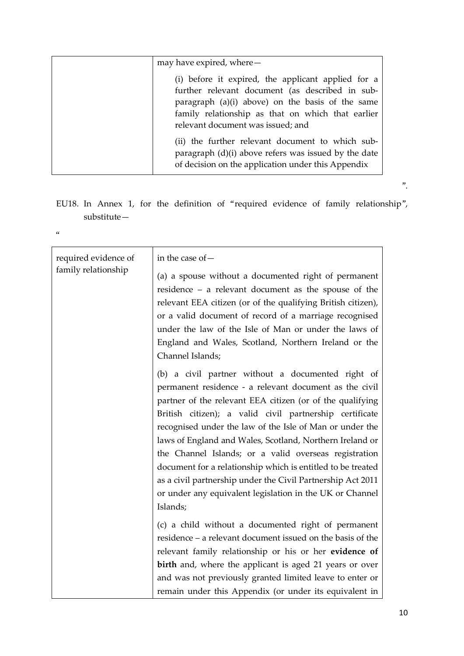| may have expired, where-                                                                                                                                                                                                                            |
|-----------------------------------------------------------------------------------------------------------------------------------------------------------------------------------------------------------------------------------------------------|
| (i) before it expired, the applicant applied for a<br>further relevant document (as described in sub-<br>paragraph (a)(i) above) on the basis of the same<br>family relationship as that on which that earlier<br>relevant document was issued; and |
| (ii) the further relevant document to which sub-<br>paragraph (d)(i) above refers was issued by the date<br>of decision on the application under this Appendix                                                                                      |

EU18. In Annex 1, for the definition of "required evidence of family relationship", substitute—

 $\alpha$ 

| required evidence of | in the case of -                                               |
|----------------------|----------------------------------------------------------------|
| family relationship  |                                                                |
|                      | (a) a spouse without a documented right of permanent           |
|                      | residence $-$ a relevant document as the spouse of the         |
|                      | relevant EEA citizen (or of the qualifying British citizen),   |
|                      | or a valid document of record of a marriage recognised         |
|                      | under the law of the Isle of Man or under the laws of          |
|                      | England and Wales, Scotland, Northern Ireland or the           |
|                      | Channel Islands;                                               |
|                      | (b) a civil partner without a documented right of              |
|                      | permanent residence - a relevant document as the civil         |
|                      | partner of the relevant EEA citizen (or of the qualifying      |
|                      | British citizen); a valid civil partnership certificate        |
|                      | recognised under the law of the Isle of Man or under the       |
|                      | laws of England and Wales, Scotland, Northern Ireland or       |
|                      | the Channel Islands; or a valid overseas registration          |
|                      | document for a relationship which is entitled to be treated    |
|                      | as a civil partnership under the Civil Partnership Act 2011    |
|                      | or under any equivalent legislation in the UK or Channel       |
|                      | Islands;                                                       |
|                      |                                                                |
|                      | (c) a child without a documented right of permanent            |
|                      | residence – a relevant document issued on the basis of the     |
|                      | relevant family relationship or his or her evidence of         |
|                      | <b>birth</b> and, where the applicant is aged 21 years or over |
|                      | and was not previously granted limited leave to enter or       |
|                      | remain under this Appendix (or under its equivalent in         |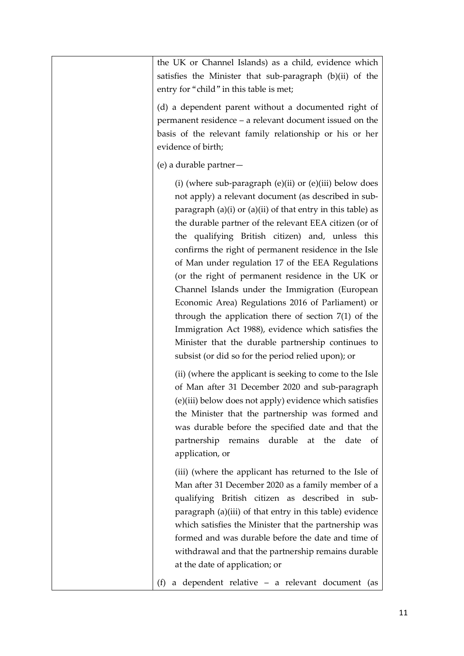| the UK or Channel Islands) as a child, evidence which<br>satisfies the Minister that sub-paragraph (b)(ii) of the<br>entry for "child" in this table is met;                                                                                                                                                                                                                                                                                                                                                                                                                                                                                                                                                                                                                                             |
|----------------------------------------------------------------------------------------------------------------------------------------------------------------------------------------------------------------------------------------------------------------------------------------------------------------------------------------------------------------------------------------------------------------------------------------------------------------------------------------------------------------------------------------------------------------------------------------------------------------------------------------------------------------------------------------------------------------------------------------------------------------------------------------------------------|
| (d) a dependent parent without a documented right of<br>permanent residence – a relevant document issued on the<br>basis of the relevant family relationship or his or her<br>evidence of birth;                                                                                                                                                                                                                                                                                                                                                                                                                                                                                                                                                                                                         |
| (e) a durable partner-                                                                                                                                                                                                                                                                                                                                                                                                                                                                                                                                                                                                                                                                                                                                                                                   |
| (i) (where sub-paragraph (e)(ii) or (e)(iii) below does<br>not apply) a relevant document (as described in sub-<br>paragraph $(a)(i)$ or $(a)(ii)$ of that entry in this table) as<br>the durable partner of the relevant EEA citizen (or of<br>the qualifying British citizen) and, unless this<br>confirms the right of permanent residence in the Isle<br>of Man under regulation 17 of the EEA Regulations<br>(or the right of permanent residence in the UK or<br>Channel Islands under the Immigration (European<br>Economic Area) Regulations 2016 of Parliament) or<br>through the application there of section $7(1)$ of the<br>Immigration Act 1988), evidence which satisfies the<br>Minister that the durable partnership continues to<br>subsist (or did so for the period relied upon); or |
| (ii) (where the applicant is seeking to come to the Isle<br>of Man after 31 December 2020 and sub-paragraph<br>(e)(iii) below does not apply) evidence which satisfies<br>the Minister that the partnership was formed and<br>was durable before the specified date and that the<br>partnership remains durable at the date<br>of<br>application, or                                                                                                                                                                                                                                                                                                                                                                                                                                                     |
| (iii) (where the applicant has returned to the Isle of<br>Man after 31 December 2020 as a family member of a<br>qualifying British citizen as described in sub-<br>paragraph (a)(iii) of that entry in this table) evidence<br>which satisfies the Minister that the partnership was<br>formed and was durable before the date and time of<br>withdrawal and that the partnership remains durable<br>at the date of application; or                                                                                                                                                                                                                                                                                                                                                                      |
| a dependent relative - a relevant document (as<br>(f)                                                                                                                                                                                                                                                                                                                                                                                                                                                                                                                                                                                                                                                                                                                                                    |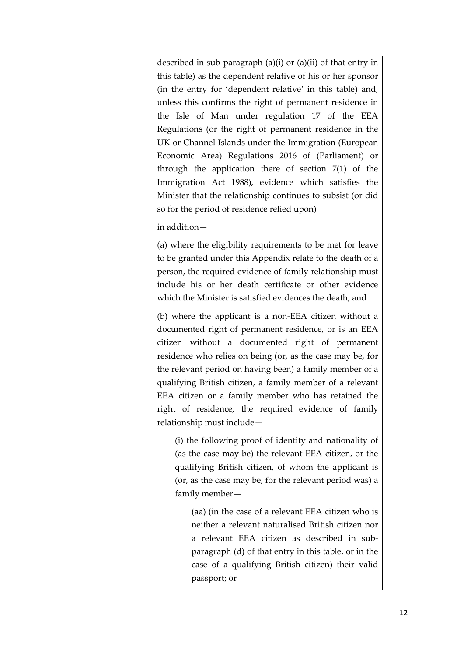described in sub-paragraph (a)(i) or (a)(ii) of that entry in this table) as the dependent relative of his or her sponsor (in the entry for 'dependent relative' in this table) and, unless this confirms the right of permanent residence in the Isle of Man under regulation 17 of the EEA Regulations (or the right of permanent residence in the UK or Channel Islands under the Immigration (European Economic Area) Regulations 2016 of (Parliament) or through the application there of section 7(1) of the Immigration Act 1988), evidence which satisfies the Minister that the relationship continues to subsist (or did so for the period of residence relied upon)

### in addition—

(a) where the eligibility requirements to be met for leave to be granted under this Appendix relate to the death of a person, the required evidence of family relationship must include his or her death certificate or other evidence which the Minister is satisfied evidences the death; and

(b) where the applicant is a non-EEA citizen without a documented right of permanent residence, or is an EEA citizen without a documented right of permanent residence who relies on being (or, as the case may be, for the relevant period on having been) a family member of a qualifying British citizen, a family member of a relevant EEA citizen or a family member who has retained the right of residence, the required evidence of family relationship must include—

(i) the following proof of identity and nationality of (as the case may be) the relevant EEA citizen, or the qualifying British citizen, of whom the applicant is (or, as the case may be, for the relevant period was) a family member—

(aa) (in the case of a relevant EEA citizen who is neither a relevant naturalised British citizen nor a relevant EEA citizen as described in subparagraph (d) of that entry in this table, or in the case of a qualifying British citizen) their valid passport; or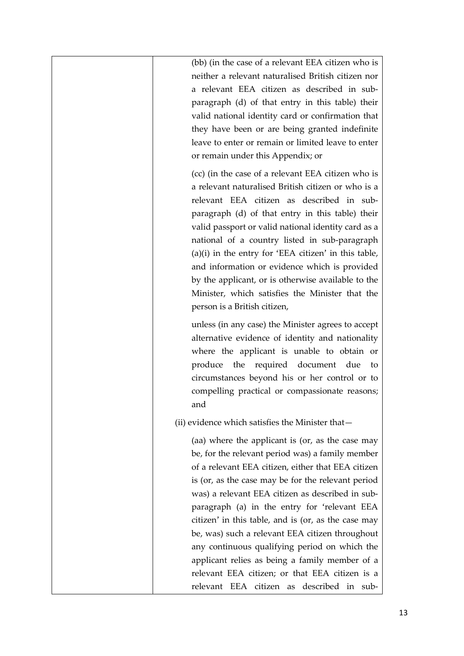(bb) (in the case of a relevant EEA citizen who is neither a relevant naturalised British citizen nor a relevant EEA citizen as described in subparagraph (d) of that entry in this table) their valid national identity card or confirmation that they have been or are being granted indefinite leave to enter or remain or limited leave to enter or remain under this Appendix; or

(cc) (in the case of a relevant EEA citizen who is a relevant naturalised British citizen or who is a relevant EEA citizen as described in subparagraph (d) of that entry in this table) their valid passport or valid national identity card as a national of a country listed in sub-paragraph (a)(i) in the entry for 'EEA citizen' in this table, and information or evidence which is provided by the applicant, or is otherwise available to the Minister, which satisfies the Minister that the person is a British citizen,

unless (in any case) the Minister agrees to accept alternative evidence of identity and nationality where the applicant is unable to obtain or produce the required document due to circumstances beyond his or her control or to compelling practical or compassionate reasons; and

(ii) evidence which satisfies the Minister that—

(aa) where the applicant is (or, as the case may be, for the relevant period was) a family member of a relevant EEA citizen, either that EEA citizen is (or, as the case may be for the relevant period was) a relevant EEA citizen as described in subparagraph (a) in the entry for 'relevant EEA citizen' in this table, and is (or, as the case may be, was) such a relevant EEA citizen throughout any continuous qualifying period on which the applicant relies as being a family member of a relevant EEA citizen; or that EEA citizen is a relevant EEA citizen as described in sub-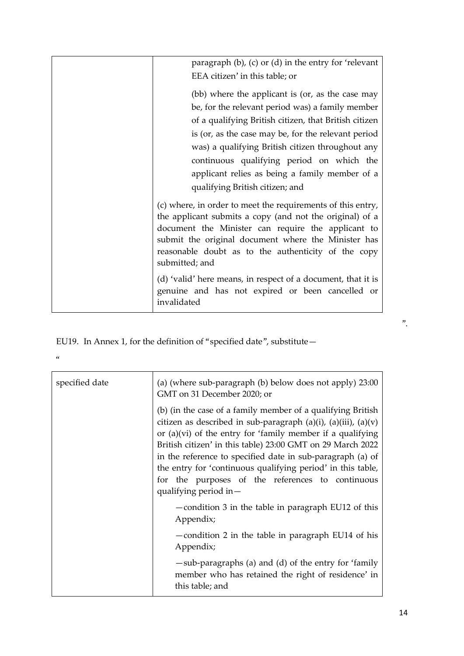| paragraph $(b)$ , $(c)$ or $(d)$ in the entry for 'relevant'<br>EEA citizen' in this table; or                                                                                                                                                                                                                                                                                                             |  |
|------------------------------------------------------------------------------------------------------------------------------------------------------------------------------------------------------------------------------------------------------------------------------------------------------------------------------------------------------------------------------------------------------------|--|
| (bb) where the applicant is (or, as the case may<br>be, for the relevant period was) a family member<br>of a qualifying British citizen, that British citizen<br>is (or, as the case may be, for the relevant period<br>was) a qualifying British citizen throughout any<br>continuous qualifying period on which the<br>applicant relies as being a family member of a<br>qualifying British citizen; and |  |
| (c) where, in order to meet the requirements of this entry,<br>the applicant submits a copy (and not the original) of a<br>document the Minister can require the applicant to<br>submit the original document where the Minister has<br>reasonable doubt as to the authenticity of the copy<br>submitted; and                                                                                              |  |
| (d) 'valid' here means, in respect of a document, that it is<br>genuine and has not expired or been cancelled or<br>invalidated                                                                                                                                                                                                                                                                            |  |

EU19. In Annex 1, for the definition of "specified date", substitute—

| í<br>I<br>I<br>I<br>M.<br>o este a |  |
|------------------------------------|--|
|                                    |  |

| specified date | (a) (where sub-paragraph (b) below does not apply) 23:00<br>GMT on 31 December 2020; or                                                                                                                                                                                                                                                                                                                                                                                       |  |
|----------------|-------------------------------------------------------------------------------------------------------------------------------------------------------------------------------------------------------------------------------------------------------------------------------------------------------------------------------------------------------------------------------------------------------------------------------------------------------------------------------|--|
|                | (b) (in the case of a family member of a qualifying British<br>citizen as described in sub-paragraph $(a)(i)$ , $(a)(iii)$ , $(a)(v)$<br>or $(a)(vi)$ of the entry for 'family member if a qualifying<br>British citizen' in this table) 23:00 GMT on 29 March 2022<br>in the reference to specified date in sub-paragraph (a) of<br>the entry for 'continuous qualifying period' in this table,<br>for the purposes of the references to continuous<br>qualifying period in- |  |
|                | -condition 3 in the table in paragraph EU12 of this<br>Appendix;                                                                                                                                                                                                                                                                                                                                                                                                              |  |
|                | -condition 2 in the table in paragraph EU14 of his<br>Appendix;                                                                                                                                                                                                                                                                                                                                                                                                               |  |
|                | -sub-paragraphs (a) and (d) of the entry for 'family<br>member who has retained the right of residence' in<br>this table; and                                                                                                                                                                                                                                                                                                                                                 |  |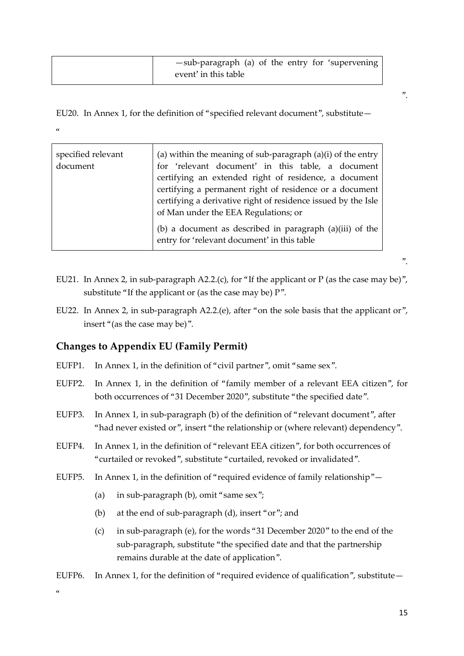| -sub-paragraph (a) of the entry for 'supervening |
|--------------------------------------------------|
| event' in this table                             |

EU20. In Annex 1, for the definition of "specified relevant document", substitute—  $\alpha$ 

| specified relevant<br>document | (a) within the meaning of sub-paragraph $(a)(i)$ of the entry<br>for 'relevant document' in this table, a document<br>certifying an extended right of residence, a document<br>certifying a permanent right of residence or a document<br>certifying a derivative right of residence issued by the Isle<br>of Man under the EEA Regulations; or |
|--------------------------------|-------------------------------------------------------------------------------------------------------------------------------------------------------------------------------------------------------------------------------------------------------------------------------------------------------------------------------------------------|
|                                | (b) a document as described in paragraph (a)(iii) of the<br>entry for 'relevant document' in this table                                                                                                                                                                                                                                         |

- EU21. In Annex 2, in sub-paragraph A2.2.(c), for "If the applicant or P (as the case may be)", substitute "If the applicant or (as the case may be) P".
- EU22. In Annex 2, in sub-paragraph A2.2.(e), after "on the sole basis that the applicant or", insert "(as the case may be)".

## **Changes to Appendix EU (Family Permit)**

- EUFP1. In Annex 1, in the definition of "civil partner", omit "same sex".
- EUFP2. In Annex 1, in the definition of "family member of a relevant EEA citizen", for both occurrences of "31 December 2020", substitute "the specified date".
- EUFP3. In Annex 1, in sub-paragraph (b) of the definition of "relevant document", after "had never existed or", insert "the relationship or (where relevant) dependency".
- EUFP4. In Annex 1, in the definition of "relevant EEA citizen", for both occurrences of "curtailed or revoked", substitute "curtailed, revoked or invalidated".
- EUFP5. In Annex 1, in the definition of "required evidence of family relationship"—
	- (a) in sub-paragraph (b), omit "same sex";
	- (b) at the end of sub-paragraph (d), insert "or"; and
	- (c) in sub-paragraph (e), for the words "31 December 2020" to the end of the sub-paragraph, substitute "the specified date and that the partnership remains durable at the date of application".
- EUFP6. In Annex 1, for the definition of "required evidence of qualification", substitute  $-$

".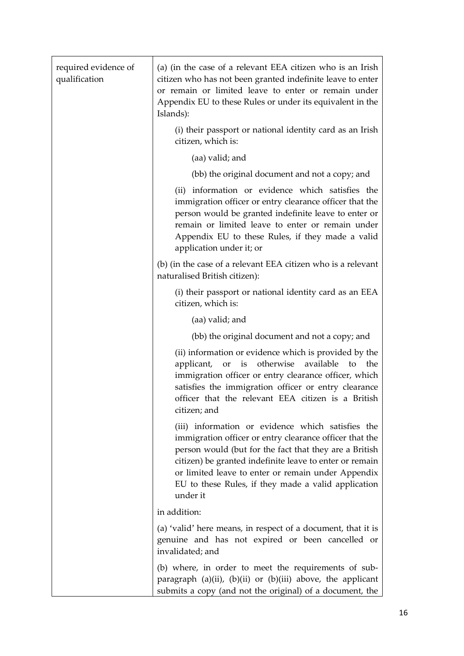| required evidence of<br>qualification | (a) (in the case of a relevant EEA citizen who is an Irish<br>citizen who has not been granted indefinite leave to enter<br>or remain or limited leave to enter or remain under<br>Appendix EU to these Rules or under its equivalent in the<br>Islands):                                                                                                  |
|---------------------------------------|------------------------------------------------------------------------------------------------------------------------------------------------------------------------------------------------------------------------------------------------------------------------------------------------------------------------------------------------------------|
|                                       | (i) their passport or national identity card as an Irish<br>citizen, which is:                                                                                                                                                                                                                                                                             |
|                                       | (aa) valid; and                                                                                                                                                                                                                                                                                                                                            |
|                                       | (bb) the original document and not a copy; and                                                                                                                                                                                                                                                                                                             |
|                                       | (ii) information or evidence which satisfies the<br>immigration officer or entry clearance officer that the<br>person would be granted indefinite leave to enter or<br>remain or limited leave to enter or remain under<br>Appendix EU to these Rules, if they made a valid<br>application under it; or                                                    |
|                                       | (b) (in the case of a relevant EEA citizen who is a relevant<br>naturalised British citizen):                                                                                                                                                                                                                                                              |
|                                       | (i) their passport or national identity card as an EEA<br>citizen, which is:                                                                                                                                                                                                                                                                               |
|                                       | (aa) valid; and                                                                                                                                                                                                                                                                                                                                            |
|                                       | (bb) the original document and not a copy; and                                                                                                                                                                                                                                                                                                             |
|                                       | (ii) information or evidence which is provided by the<br>applicant, or is otherwise<br>available<br>to the<br>immigration officer or entry clearance officer, which<br>satisfies the immigration officer or entry clearance<br>officer that the relevant EEA citizen is a British<br>citizen; and                                                          |
|                                       | (iii) information or evidence which satisfies the<br>immigration officer or entry clearance officer that the<br>person would (but for the fact that they are a British<br>citizen) be granted indefinite leave to enter or remain<br>or limited leave to enter or remain under Appendix<br>EU to these Rules, if they made a valid application<br>under it |
|                                       | in addition:                                                                                                                                                                                                                                                                                                                                               |
|                                       | (a) 'valid' here means, in respect of a document, that it is<br>genuine and has not expired or been cancelled or<br>invalidated; and                                                                                                                                                                                                                       |
|                                       | (b) where, in order to meet the requirements of sub-<br>paragraph (a)(ii), (b)(ii) or (b)(iii) above, the applicant<br>submits a copy (and not the original) of a document, the                                                                                                                                                                            |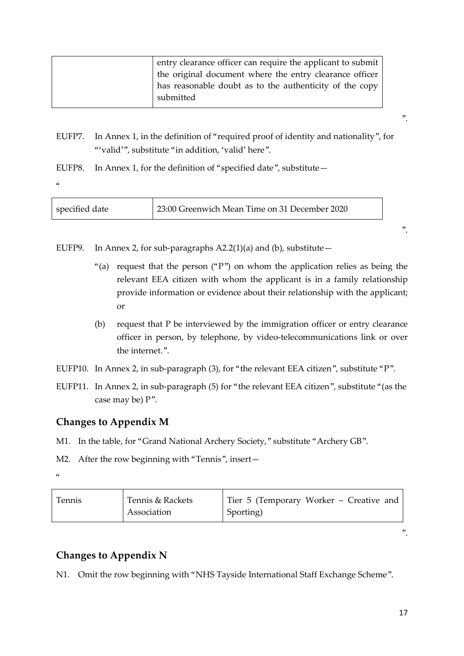| entry clearance officer can require the applicant to submit |
|-------------------------------------------------------------|
| the original document where the entry clearance officer     |
| has reasonable doubt as to the authenticity of the copy     |
| submitted                                                   |
|                                                             |

- EUFP7. In Annex 1, in the definition of "required proof of identity and nationality", for "'valid'", substitute "in addition, 'valid' here".
- EUFP8. In Annex 1, for the definition of "specified date", substitute—

 $\alpha$ 

| specified date | 23:00 Greenwich Mean Time on 31 December 2020 |  |
|----------------|-----------------------------------------------|--|
|                |                                               |  |

EUFP9. In Annex 2, for sub-paragraphs  $A2.2(1)(a)$  and (b), substitute -

- "(a) request that the person ("P") on whom the application relies as being the relevant EEA citizen with whom the applicant is in a family relationship provide information or evidence about their relationship with the applicant; or
- (b) request that P be interviewed by the immigration officer or entry clearance officer in person, by telephone, by video-telecommunications link or over the internet."

EUFP10. In Annex 2, in sub-paragraph (3), for "the relevant EEA citizen", substitute "P".

EUFP11. In Annex 2, in sub-paragraph (5) for "the relevant EEA citizen", substitute "(as the case may be) P".

# **Changes to Appendix M**

M1. In the table, for "Grand National Archery Society," substitute "Archery GB".

M2. After the row beginning with "Tennis", insert—

 $\alpha$ 

| Tennis | Tennis & Rackets | Tier 5 (Temporary Worker – Creative and |
|--------|------------------|-----------------------------------------|
|        | Association      | Sporting)                               |

".

".

".

# **Changes to Appendix N**

N1. Omit the row beginning with "NHS Tayside International Staff Exchange Scheme".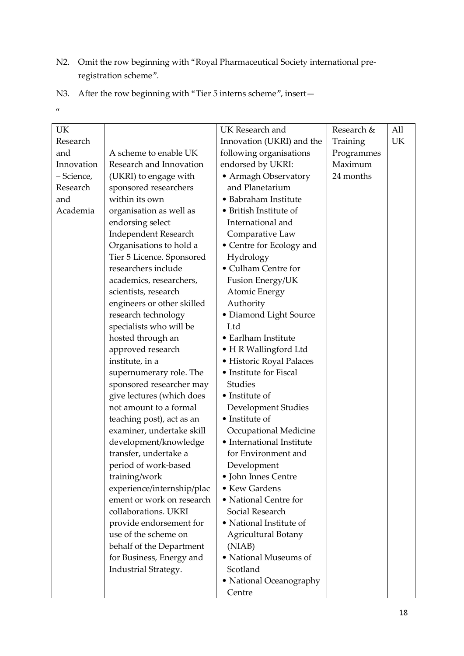- N2. Omit the row beginning with "Royal Pharmaceutical Society international preregistration scheme".
- N3. After the row beginning with "Tier 5 interns scheme", insert—
- $\alpha$

|            |                             |                                                    | Research & | All |
|------------|-----------------------------|----------------------------------------------------|------------|-----|
| UK         |                             | UK Research and                                    |            |     |
| Research   |                             | Innovation (UKRI) and the                          | Training   | UK  |
| and        | A scheme to enable UK       | following organisations                            | Programmes |     |
| Innovation | Research and Innovation     | endorsed by UKRI:                                  | Maximum    |     |
| - Science, | (UKRI) to engage with       | • Armagh Observatory                               | 24 months  |     |
| Research   | sponsored researchers       | and Planetarium                                    |            |     |
| and        | within its own              | • Babraham Institute                               |            |     |
| Academia   | organisation as well as     | • British Institute of                             |            |     |
|            | endorsing select            | International and                                  |            |     |
|            | <b>Independent Research</b> | Comparative Law                                    |            |     |
|            | Organisations to hold a     | • Centre for Ecology and                           |            |     |
|            | Tier 5 Licence. Sponsored   | Hydrology                                          |            |     |
|            | researchers include         | • Culham Centre for                                |            |     |
|            | academics, researchers,     | Fusion Energy/UK                                   |            |     |
|            | scientists, research        | <b>Atomic Energy</b>                               |            |     |
|            | engineers or other skilled  | Authority                                          |            |     |
|            | research technology         | • Diamond Light Source                             |            |     |
|            | specialists who will be     | Ltd                                                |            |     |
|            | hosted through an           | • Earlham Institute                                |            |     |
|            | approved research           | • H R Wallingford Ltd                              |            |     |
|            | institute, in a             | · Historic Royal Palaces                           |            |     |
|            | supernumerary role. The     | • Institute for Fiscal                             |            |     |
|            | sponsored researcher may    | Studies                                            |            |     |
|            | give lectures (which does   | • Institute of                                     |            |     |
|            | not amount to a formal      | Development Studies                                |            |     |
|            | teaching post), act as an   | • Institute of                                     |            |     |
|            | examiner, undertake skill   |                                                    |            |     |
|            |                             | Occupational Medicine<br>• International Institute |            |     |
|            | development/knowledge       |                                                    |            |     |
|            | transfer, undertake a       | for Environment and                                |            |     |
|            | period of work-based        | Development                                        |            |     |
|            | training/work               | • John Innes Centre                                |            |     |
|            | experience/internship/plac  | • Kew Gardens                                      |            |     |
|            | ement or work on research   | • National Centre for                              |            |     |
|            | collaborations. UKRI        | Social Research                                    |            |     |
|            | provide endorsement for     | • National Institute of                            |            |     |
|            | use of the scheme on        | <b>Agricultural Botany</b>                         |            |     |
|            | behalf of the Department    | (NIAB)                                             |            |     |
|            | for Business, Energy and    | • National Museums of                              |            |     |
|            | Industrial Strategy.        | Scotland                                           |            |     |
|            |                             | • National Oceanography                            |            |     |
|            |                             | Centre                                             |            |     |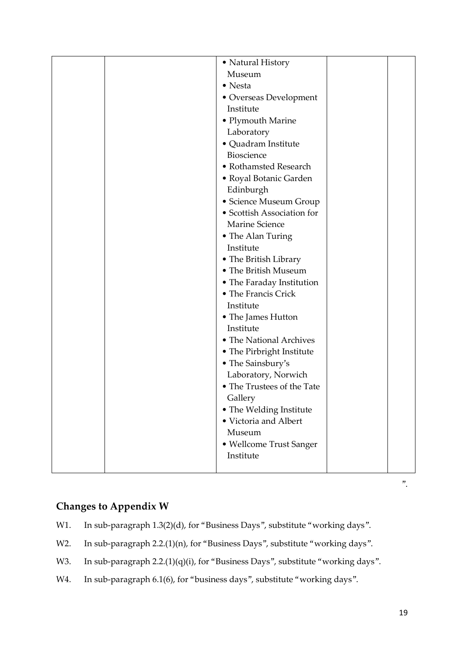|  | • Natural History          |  |
|--|----------------------------|--|
|  | Museum                     |  |
|  | • Nesta                    |  |
|  | · Overseas Development     |  |
|  | Institute                  |  |
|  | $\bullet$ Plymouth Marine  |  |
|  | Laboratory                 |  |
|  | · Quadram Institute        |  |
|  | Bioscience                 |  |
|  | • Rothamsted Research      |  |
|  | • Royal Botanic Garden     |  |
|  | Edinburgh                  |  |
|  | • Science Museum Group     |  |
|  | • Scottish Association for |  |
|  | Marine Science             |  |
|  | • The Alan Turing          |  |
|  | Institute                  |  |
|  | • The British Library      |  |
|  | • The British Museum       |  |
|  | • The Faraday Institution  |  |
|  | • The Francis Crick        |  |
|  | Institute                  |  |
|  | • The James Hutton         |  |
|  | Institute                  |  |
|  | • The National Archives    |  |
|  | • The Pirbright Institute  |  |
|  | • The Sainsbury's          |  |
|  | Laboratory, Norwich        |  |
|  | • The Trustees of the Tate |  |
|  | Gallery                    |  |
|  | • The Welding Institute    |  |
|  | · Victoria and Albert      |  |
|  | Museum                     |  |
|  | • Wellcome Trust Sanger    |  |
|  | Institute                  |  |
|  |                            |  |
|  |                            |  |

## **Changes to Appendix W**

- W1. In sub-paragraph 1.3(2)(d), for "Business Days", substitute "working days".
- W2. In sub-paragraph 2.2.(1)(n), for "Business Days", substitute "working days".
- W3. In sub-paragraph 2.2.(1)(q)(i), for "Business Days", substitute "working days".
- W4. In sub-paragraph 6.1(6), for "business days", substitute "working days".

 $\mathbf{v}$ .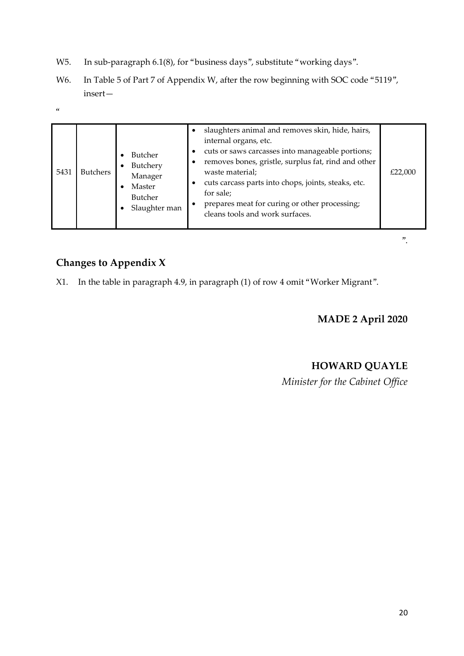- W5. In sub-paragraph 6.1(8), for "business days", substitute "working days".
- W6. In Table 5 of Part 7 of Appendix W, after the row beginning with SOC code "5119", insert—

 $\alpha$ 

| 5431 | <b>Butchers</b> | Butcher<br>Butchery<br>Manager<br>Master<br>Butcher<br>Slaughter man | slaughters animal and removes skin, hide, hairs,<br>$\bullet$<br>internal organs, etc.<br>cuts or saws carcasses into manageable portions;<br>$\bullet$<br>removes bones, gristle, surplus fat, rind and other<br>$\bullet$<br>waste material;<br>cuts carcass parts into chops, joints, steaks, etc.<br>٠<br>for sale;<br>prepares meat for curing or other processing;<br>cleans tools and work surfaces. | £22,000 |
|------|-----------------|----------------------------------------------------------------------|-------------------------------------------------------------------------------------------------------------------------------------------------------------------------------------------------------------------------------------------------------------------------------------------------------------------------------------------------------------------------------------------------------------|---------|
|------|-----------------|----------------------------------------------------------------------|-------------------------------------------------------------------------------------------------------------------------------------------------------------------------------------------------------------------------------------------------------------------------------------------------------------------------------------------------------------------------------------------------------------|---------|

# **Changes to Appendix X**

X1. In the table in paragraph 4.9, in paragraph (1) of row 4 omit "Worker Migrant".

**MADE 2 April 2020**

".

## **HOWARD QUAYLE**

*Minister for the Cabinet Office*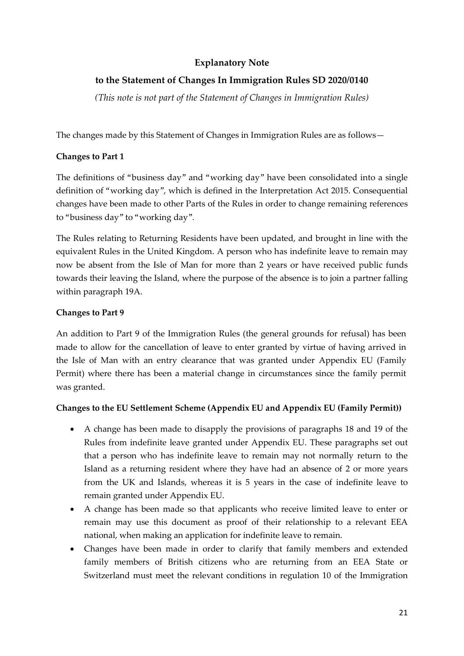## **Explanatory Note**

## **to the Statement of Changes In Immigration Rules SD 2020/0140**

*(This note is not part of the Statement of Changes in Immigration Rules)*

The changes made by this Statement of Changes in Immigration Rules are as follows—

#### **Changes to Part 1**

The definitions of "business day" and "working day" have been consolidated into a single definition of "working day", which is defined in the Interpretation Act 2015. Consequential changes have been made to other Parts of the Rules in order to change remaining references to "business day" to "working day".

The Rules relating to Returning Residents have been updated, and brought in line with the equivalent Rules in the United Kingdom. A person who has indefinite leave to remain may now be absent from the Isle of Man for more than 2 years or have received public funds towards their leaving the Island, where the purpose of the absence is to join a partner falling within paragraph 19A.

#### **Changes to Part 9**

An addition to Part 9 of the Immigration Rules (the general grounds for refusal) has been made to allow for the cancellation of leave to enter granted by virtue of having arrived in the Isle of Man with an entry clearance that was granted under Appendix EU (Family Permit) where there has been a material change in circumstances since the family permit was granted.

#### **Changes to the EU Settlement Scheme (Appendix EU and Appendix EU (Family Permit))**

- A change has been made to disapply the provisions of paragraphs 18 and 19 of the Rules from indefinite leave granted under Appendix EU. These paragraphs set out that a person who has indefinite leave to remain may not normally return to the Island as a returning resident where they have had an absence of 2 or more years from the UK and Islands, whereas it is 5 years in the case of indefinite leave to remain granted under Appendix EU.
- A change has been made so that applicants who receive limited leave to enter or remain may use this document as proof of their relationship to a relevant EEA national, when making an application for indefinite leave to remain.
- Changes have been made in order to clarify that family members and extended family members of British citizens who are returning from an EEA State or Switzerland must meet the relevant conditions in regulation 10 of the Immigration